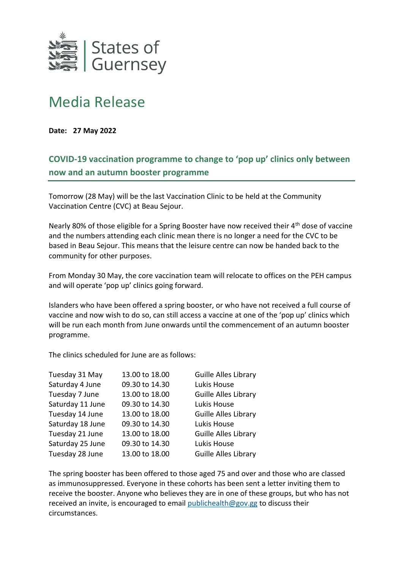

## Media Release

**Date: 27 May 2022**

## **COVID-19 vaccination programme to change to 'pop up' clinics only between now and an autumn booster programme**

Tomorrow (28 May) will be the last Vaccination Clinic to be held at the Community Vaccination Centre (CVC) at Beau Sejour.

Nearly 80% of those eligible for a Spring Booster have now received their 4<sup>th</sup> dose of vaccine and the numbers attending each clinic mean there is no longer a need for the CVC to be based in Beau Sejour. This means that the leisure centre can now be handed back to the community for other purposes.

From Monday 30 May, the core vaccination team will relocate to offices on the PEH campus and will operate 'pop up' clinics going forward.

Islanders who have been offered a spring booster, or who have not received a full course of vaccine and now wish to do so, can still access a vaccine at one of the 'pop up' clinics which will be run each month from June onwards until the commencement of an autumn booster programme.

The clinics scheduled for June are as follows:

| Tuesday 31 May   | 13.00 to 18.00 | Guille Alles Library        |
|------------------|----------------|-----------------------------|
| Saturday 4 June  | 09.30 to 14.30 | Lukis House                 |
| Tuesday 7 June   | 13.00 to 18.00 | Guille Alles Library        |
| Saturday 11 June | 09.30 to 14.30 | Lukis House                 |
| Tuesday 14 June  | 13.00 to 18.00 | Guille Alles Library        |
| Saturday 18 June | 09.30 to 14.30 | Lukis House                 |
| Tuesday 21 June  | 13.00 to 18.00 | Guille Alles Library        |
| Saturday 25 June | 09.30 to 14.30 | Lukis House                 |
| Tuesday 28 June  | 13.00 to 18.00 | <b>Guille Alles Library</b> |

The spring booster has been offered to those aged 75 and over and those who are classed as immunosuppressed. Everyone in these cohorts has been sent a letter inviting them to receive the booster. Anyone who believes they are in one of these groups, but who has not received an invite, is encouraged to email [publichealth@gov.gg](mailto:publichealth@gov.gg) to discuss their circumstances.